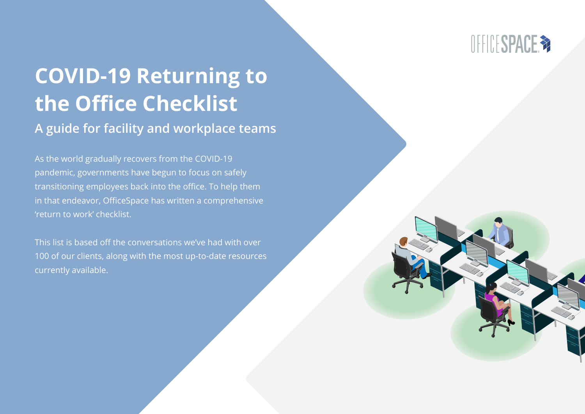

# **COVID-19 Returning to the Office Checklist**

#### **A guide for facility and workplace teams**

As the world gradually recovers from the COVID-19 pandemic, governments have begun to focus on safely transitioning employees back into the office. To help them in that endeavor, OfficeSpace has written a comprehensive 'return to work' checklist.

This list is based off the conversations we've had with over 100 of our clients, along with the most up-to-date resources currently available.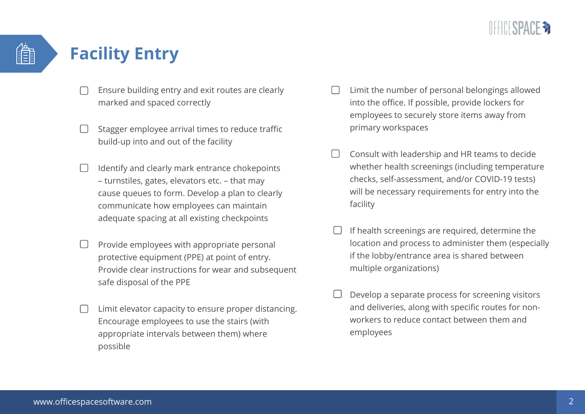

#### **Facility Entry**

- Ensure building entry and exit routes are clearly marked and spaced correctly
- Stagger employee arrival times to reduce traffic build-up into and out of the facility
- Identify and clearly mark entrance chokepoints – turnstiles, gates, elevators etc. – that may cause queues to form. Develop a plan to clearly communicate how employees can maintain adequate spacing at all existing checkpoints
- Provide employees with appropriate personal protective equipment (PPE) at point of entry. Provide clear instructions for wear and subsequent safe disposal of the PPE
- Limit elevator capacity to ensure proper distancing. Encourage employees to use the stairs (with appropriate intervals between them) where possible
- Limit the number of personal belongings allowed into the office. If possible, provide lockers for employees to securely store items away from primary workspaces
- Consult with leadership and HR teams to decide whether health screenings (including temperature checks, self-assessment, and/or COVID-19 tests) will be necessary requirements for entry into the facility
- If health screenings are required, determine the location and process to administer them (especially if the lobby/entrance area is shared between multiple organizations)
- Develop a separate process for screening visitors and deliveries, along with specific routes for nonworkers to reduce contact between them and employees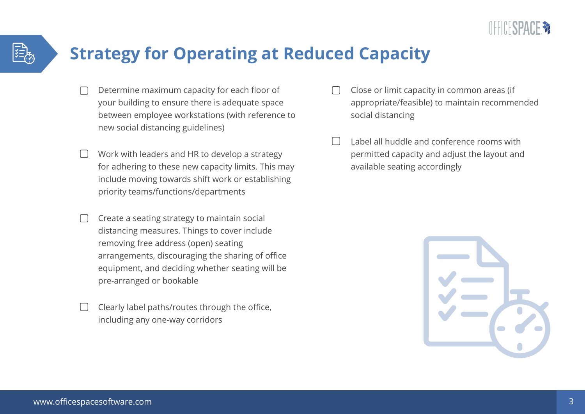

### **Strategy for Operating at Reduced Capacity**

- Determine maximum capacity for each floor of your building to ensure there is adequate space between employee workstations (with reference to new social distancing guidelines)
- Work with leaders and HR to develop a strategy for adhering to these new capacity limits. This may include moving towards shift work or establishing priority teams/functions/departments
- Create a seating strategy to maintain social distancing measures. Things to cover include removing free address (open) seating arrangements, discouraging the sharing of office equipment, and deciding whether seating will be pre-arranged or bookable
- Clearly label paths/routes through the office, including any one-way corridors
- Close or limit capacity in common areas (if appropriate/feasible) to maintain recommended social distancing
- Label all huddle and conference rooms with permitted capacity and adjust the layout and available seating accordingly

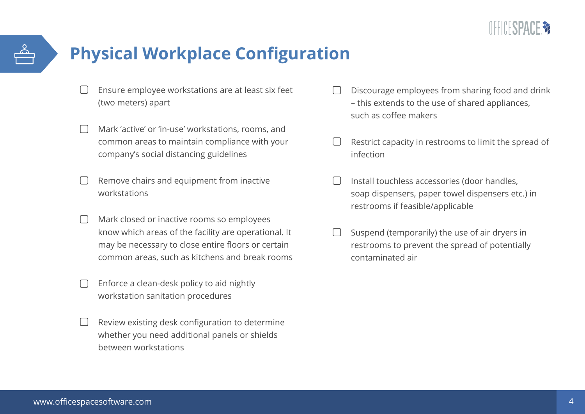

## **Physical Workplace Configuration**

- Ensure employee workstations are at least six feet (two meters) apart
- Mark 'active' or 'in-use' workstations, rooms, and common areas to maintain compliance with your company's social distancing guidelines
- Remove chairs and equipment from inactive workstations
- Mark closed or inactive rooms so employees know which areas of the facility are operational. It may be necessary to close entire floors or certain common areas, such as kitchens and break rooms
- Enforce a clean-desk policy to aid nightly workstation sanitation procedures
- Review existing desk configuration to determine whether you need additional panels or shields between workstations
- Discourage employees from sharing food and drink – this extends to the use of shared appliances, such as coffee makers
- Restrict capacity in restrooms to limit the spread of infection
- Install touchless accessories (door handles, soap dispensers, paper towel dispensers etc.) in restrooms if feasible/applicable
- Suspend (temporarily) the use of air dryers in restrooms to prevent the spread of potentially contaminated air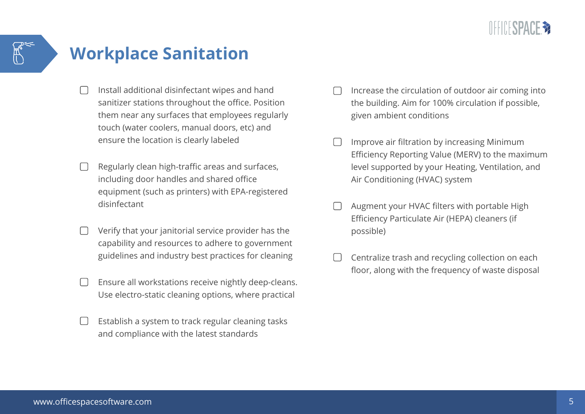

## **Workplace Sanitation**

- Install additional disinfectant wipes and hand sanitizer stations throughout the office. Position them near any surfaces that employees regularly touch (water coolers, manual doors, etc) and ensure the location is clearly labeled
- Regularly clean high-traffic areas and surfaces, including door handles and shared office equipment (such as printers) with EPA-registered disinfectant
- Verify that your janitorial service provider has the capability and resources to adhere to government guidelines and industry best practices for cleaning
- Ensure all workstations receive nightly deep-cleans. Use electro-static cleaning options, where practical
- Establish a system to track regular cleaning tasks and compliance with the latest standards
- Increase the circulation of outdoor air coming into the building. Aim for 100% circulation if possible, given ambient conditions
- Improve air filtration by increasing Minimum Efficiency Reporting Value (MERV) to the maximum level supported by your Heating, Ventilation, and Air Conditioning (HVAC) system
- Augment your HVAC filters with portable High Efficiency Particulate Air (HEPA) cleaners (if possible)
- Centralize trash and recycling collection on each floor, along with the frequency of waste disposal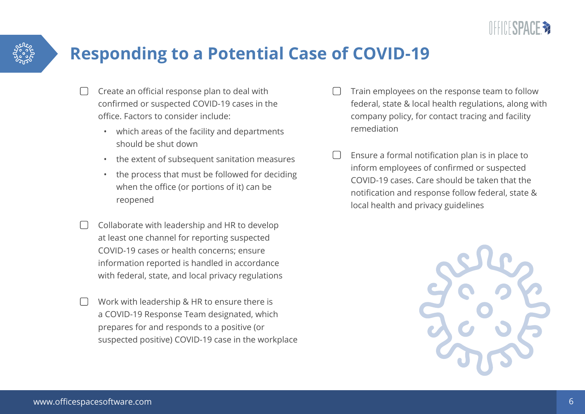

### **Responding to a Potential Case of COVID-19**

- Create an official response plan to deal with confirmed or suspected COVID-19 cases in the office. Factors to consider include:
	- which areas of the facility and departments should be shut down
	- the extent of subsequent sanitation measures
	- the process that must be followed for deciding when the office (or portions of it) can be reopened
- Collaborate with leadership and HR to develop at least one channel for reporting suspected COVID-19 cases or health concerns; ensure information reported is handled in accordance with federal, state, and local privacy regulations
- Work with leadership & HR to ensure there is a COVID-19 Response Team designated, which prepares for and responds to a positive (or suspected positive) COVID-19 case in the workplace
- Train employees on the response team to follow federal, state & local health regulations, along with company policy, for contact tracing and facility remediation
- Ensure a formal notification plan is in place to inform employees of confirmed or suspected COVID-19 cases. Care should be taken that the notification and response follow federal, state & local health and privacy guidelines

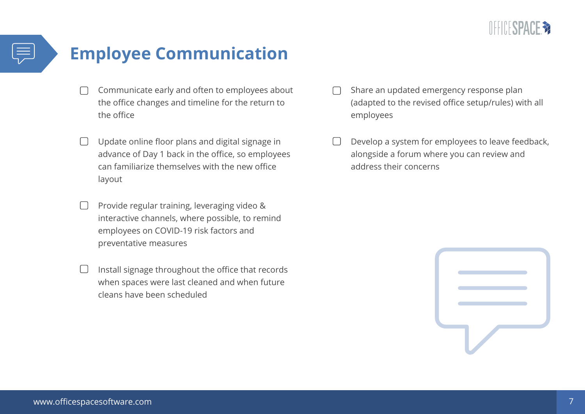

# **Employee Communication**

- Communicate early and often to employees about the office changes and timeline for the return to the office
- Update online floor plans and digital signage in  $\Box$ advance of Day 1 back in the office, so employees can familiarize themselves with the new office layout
- Provide regular training, leveraging video & interactive channels, where possible, to remind employees on COVID-19 risk factors and preventative measures
- Install signage throughout the office that records when spaces were last cleaned and when future cleans have been scheduled
- Share an updated emergency response plan (adapted to the revised office setup/rules) with all employees
- Develop a system for employees to leave feedback, alongside a forum where you can review and address their concerns